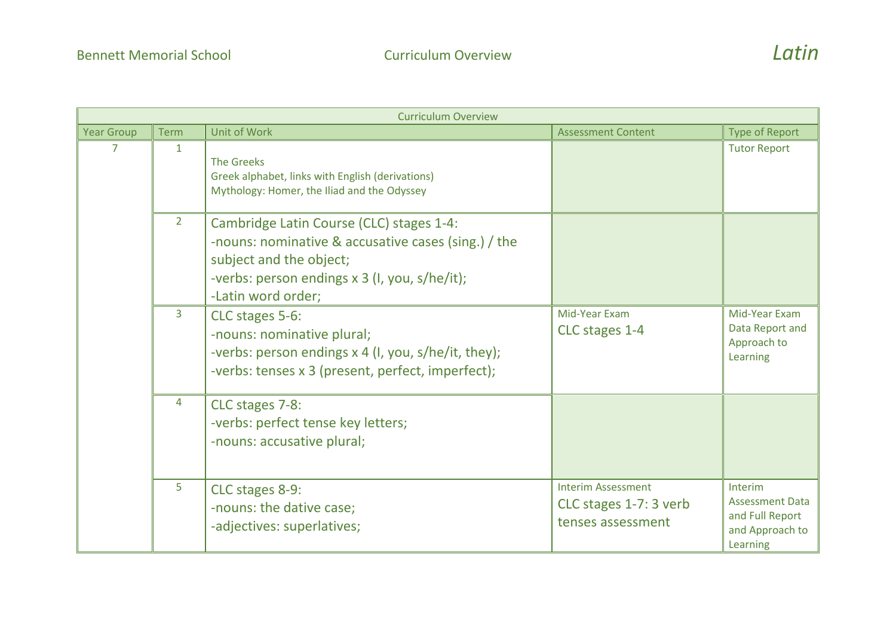| <b>Curriculum Overview</b> |                |                                                                                                                                                                                                   |                                                                          |                                                                                     |
|----------------------------|----------------|---------------------------------------------------------------------------------------------------------------------------------------------------------------------------------------------------|--------------------------------------------------------------------------|-------------------------------------------------------------------------------------|
| <b>Year Group</b>          | <b>Term</b>    | Unit of Work                                                                                                                                                                                      | <b>Assessment Content</b>                                                | <b>Type of Report</b>                                                               |
| 7                          | $\mathbf{1}$   | <b>The Greeks</b><br>Greek alphabet, links with English (derivations)<br>Mythology: Homer, the Iliad and the Odyssey                                                                              |                                                                          | <b>Tutor Report</b>                                                                 |
|                            | $2^{\circ}$    | Cambridge Latin Course (CLC) stages 1-4:<br>-nouns: nominative & accusative cases (sing.) / the<br>subject and the object;<br>-verbs: person endings x 3 (I, you, s/he/it);<br>-Latin word order; |                                                                          |                                                                                     |
|                            | $\overline{3}$ | CLC stages 5-6:<br>-nouns: nominative plural;<br>-verbs: person endings x 4 (I, you, s/he/it, they);<br>-verbs: tenses x 3 (present, perfect, imperfect);                                         | Mid-Year Exam<br>CLC stages 1-4                                          | Mid-Year Exam<br>Data Report and<br>Approach to<br>Learning                         |
|                            | 4              | CLC stages 7-8:<br>-verbs: perfect tense key letters;<br>-nouns: accusative plural;                                                                                                               |                                                                          |                                                                                     |
|                            | 5              | CLC stages 8-9:<br>-nouns: the dative case;<br>-adjectives: superlatives;                                                                                                                         | <b>Interim Assessment</b><br>CLC stages 1-7: 3 verb<br>tenses assessment | Interim<br><b>Assessment Data</b><br>and Full Report<br>and Approach to<br>Learning |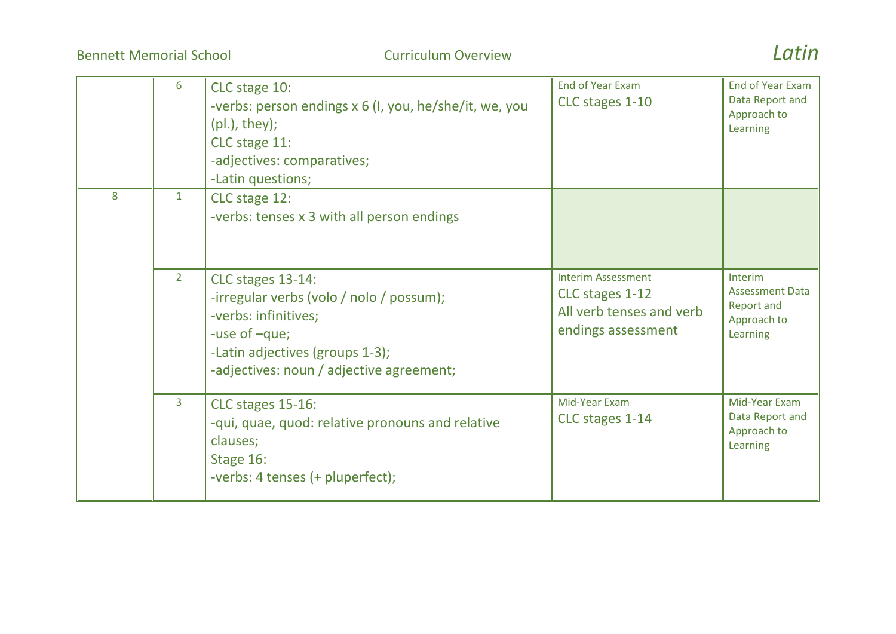Bennett Memorial School Curriculum Overview *Latin*

|   | 6              | CLC stage 10:<br>-verbs: person endings x 6 (I, you, he/she/it, we, you<br>$(pl.),$ they);<br>CLC stage 11:<br>-adjectives: comparatives;<br>-Latin questions;                        | <b>End of Year Exam</b><br>CLC stages 1-10                                                     | <b>End of Year Exam</b><br>Data Report and<br>Approach to<br>Learning             |
|---|----------------|---------------------------------------------------------------------------------------------------------------------------------------------------------------------------------------|------------------------------------------------------------------------------------------------|-----------------------------------------------------------------------------------|
| 8 | $\mathbf{1}$   | CLC stage 12:<br>-verbs: tenses x 3 with all person endings                                                                                                                           |                                                                                                |                                                                                   |
|   | $\overline{2}$ | CLC stages 13-14:<br>-irregular verbs (volo / nolo / possum);<br>-verbs: infinitives;<br>-use of -que;<br>-Latin adjectives (groups 1-3);<br>-adjectives: noun / adjective agreement; | <b>Interim Assessment</b><br>CLC stages 1-12<br>All verb tenses and verb<br>endings assessment | Interim<br><b>Assessment Data</b><br><b>Report and</b><br>Approach to<br>Learning |
|   | 3              | CLC stages 15-16:<br>-qui, quae, quod: relative pronouns and relative<br>clauses;<br>Stage 16:<br>-verbs: 4 tenses (+ pluperfect);                                                    | Mid-Year Exam<br>CLC stages 1-14                                                               | Mid-Year Exam<br>Data Report and<br>Approach to<br>Learning                       |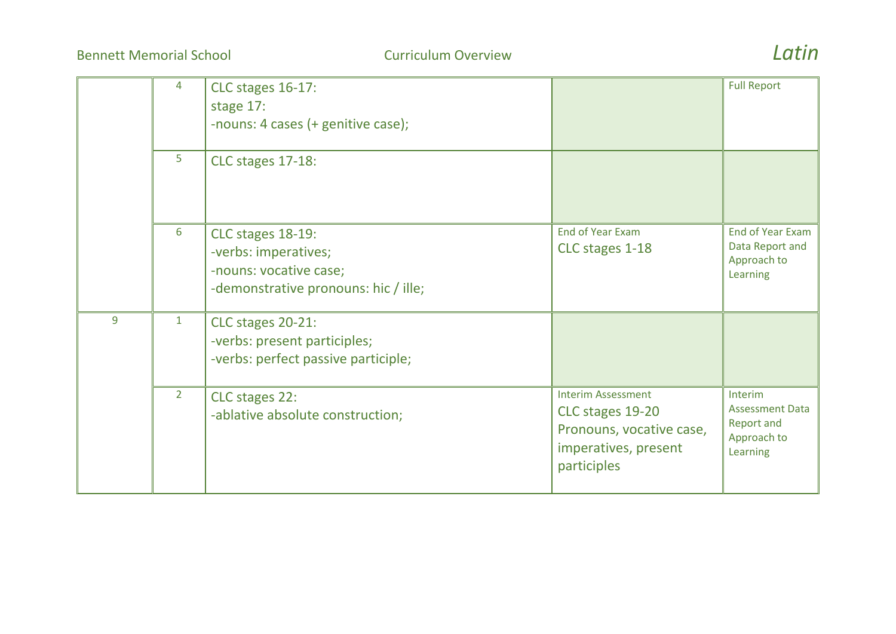Bennett Memorial School Curriculum Overview *Latin*



|   | 4            | CLC stages 16-17:<br>stage 17:<br>-nouns: 4 cases (+ genitive case);                                        |                                                                                                                  | <b>Full Report</b>                                                                |
|---|--------------|-------------------------------------------------------------------------------------------------------------|------------------------------------------------------------------------------------------------------------------|-----------------------------------------------------------------------------------|
|   | 5            | CLC stages 17-18:                                                                                           |                                                                                                                  |                                                                                   |
|   | 6            | CLC stages 18-19:<br>-verbs: imperatives;<br>-nouns: vocative case;<br>-demonstrative pronouns: hic / ille; | <b>End of Year Exam</b><br>CLC stages 1-18                                                                       | End of Year Exam<br>Data Report and<br>Approach to<br>Learning                    |
| 9 | $\mathbf{1}$ | CLC stages 20-21:<br>-verbs: present participles;<br>-verbs: perfect passive participle;                    |                                                                                                                  |                                                                                   |
|   | $2^{\circ}$  | CLC stages 22:<br>-ablative absolute construction;                                                          | <b>Interim Assessment</b><br>CLC stages 19-20<br>Pronouns, vocative case,<br>imperatives, present<br>participles | Interim<br><b>Assessment Data</b><br><b>Report and</b><br>Approach to<br>Learning |